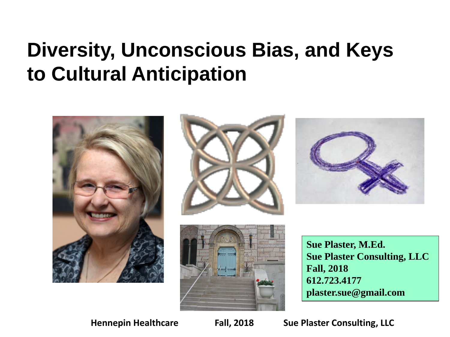### **Diversity, Unconscious Bias, and Keys to Cultural Anticipation**



**plaster.sue@gmail.com**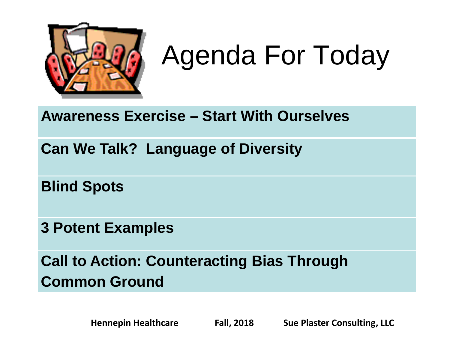

# Agenda For Today

#### **Awareness Exercise – Start With Ourselves**

**Can We Talk? Language of Diversity**

**Blind Spots**

**3 Potent Examples**

**Call to Action: Counteracting Bias Through Common Ground**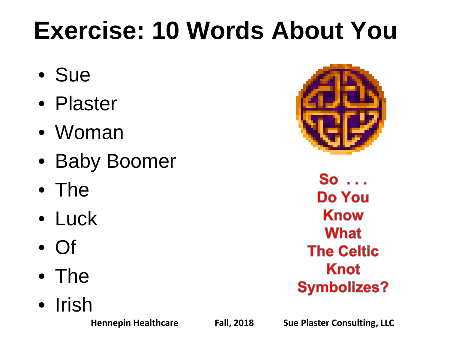# **Exercise: 10 Words About You**

- Sue
- Plaster
- Woman
- Baby Boomer
- The
- Luck
- Of
- The
- Irish



 $So \dots$ **Do You Know What The Celtic Knot Symbolizes?**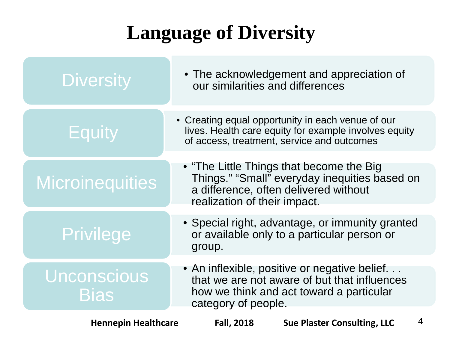### **Language of Diversity**

| <b>Diversity</b>                  | • The acknowledgement and appreciation of<br>our similarities and differences                                                                                       |
|-----------------------------------|---------------------------------------------------------------------------------------------------------------------------------------------------------------------|
| <b>Equity</b>                     | • Creating equal opportunity in each venue of our<br>lives. Health care equity for example involves equity<br>of access, treatment, service and outcomes            |
| <b>Microinequities</b>            | • "The Little Things that become the Big"<br>Things." "Small" everyday inequities based on<br>a difference, often delivered without<br>realization of their impact. |
| <b>Privilege</b>                  | • Special right, advantage, or immunity granted<br>or available only to a particular person or<br>group.                                                            |
| <b>Unconscious</b><br><b>Bias</b> | • An inflexible, positive or negative belief<br>that we are not aware of but that influences<br>how we think and act toward a particular<br>category of people.     |
| <b>Hennepin Healthcare</b>        | $\overline{4}$<br><b>Fall, 2018</b><br><b>Sue Plaster Consulting, LLC</b>                                                                                           |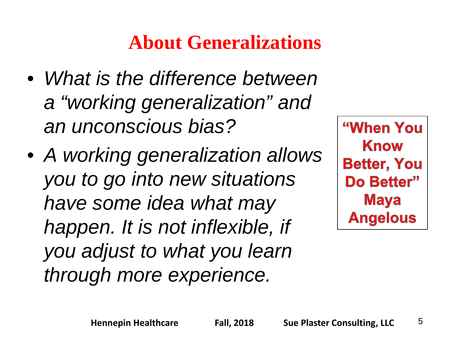### **About Generalizations**

- *What is the difference between a "working generalization" and an unconscious bias?*
- *A working generalization allows you to go into new situations have some idea what may happen. It is not inflexible, if you adjust to what you learn through more experience.*

"When You **Know Better, You** Do Better" **Maya Angelous**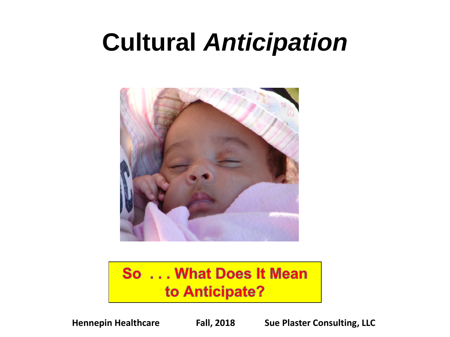# **Cultural** *Anticipation*



#### So ... What Does It Mean to Anticipate?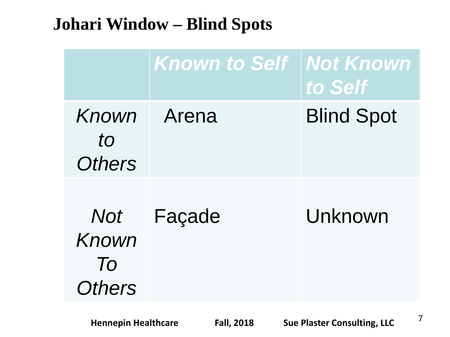#### **Johari Window – Blind Spots**

|                                                 | <b>Known to Self</b> | <b>Not Known</b><br>to Self |
|-------------------------------------------------|----------------------|-----------------------------|
| Known<br>to<br><b>Others</b>                    | Arena                | <b>Blind Spot</b>           |
| Not<br>Known<br>$\overline{I}$<br><b>Others</b> | Façade               | Unknown                     |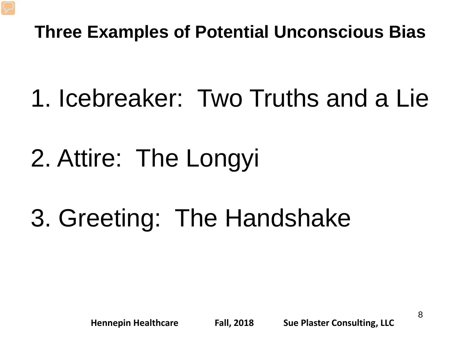#### **Three Examples of Potential Unconscious Bias**

- 1. Icebreaker: Two Truths and a Lie
- 2. Attire: The Longyi
- 3. Greeting: The Handshake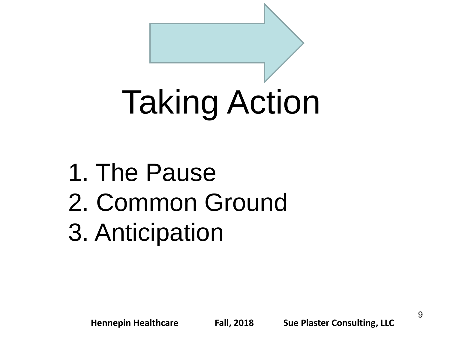# Taking Action

- 1. The Pause
- 2. Common Ground
- 3. Anticipation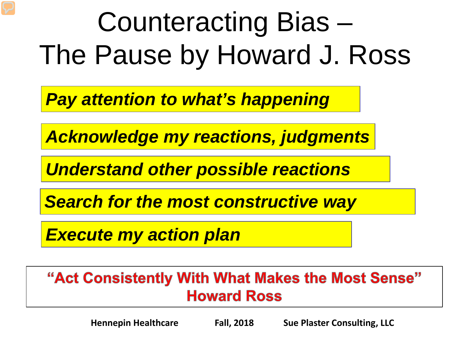# Counteracting Bias – The Pause by Howard J. Ross

*Pay attention to what's happening*

*Acknowledge my reactions, judgments*

*Understand other possible reactions*

*Search for the most constructive way* 

*Execute my action plan*

#### "Act Consistently With What Makes the Most Sense" **Howard Ross**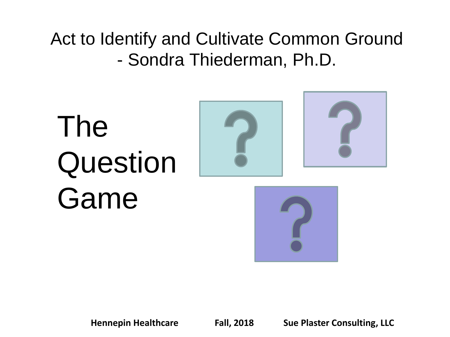Act to Identify and Cultivate Common Ground - Sondra Thiederman, Ph.D.

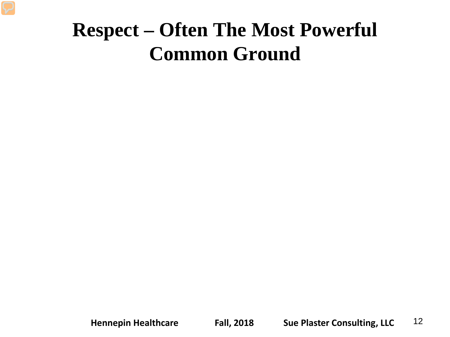### **Respect – Often The Most Powerful Common Ground**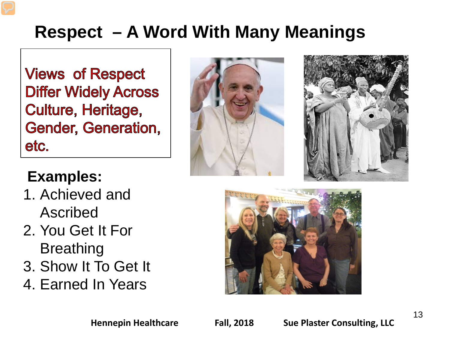### **Respect – A Word With Many Meanings**

**Views of Respect Differ Widely Across Culture, Heritage, Gender, Generation,** etc.





#### **Examples:**

- 1. Achieved and Ascribed
- 2. You Get It For **Breathing**
- 3. Show It To Get It
- 4. Earned In Years

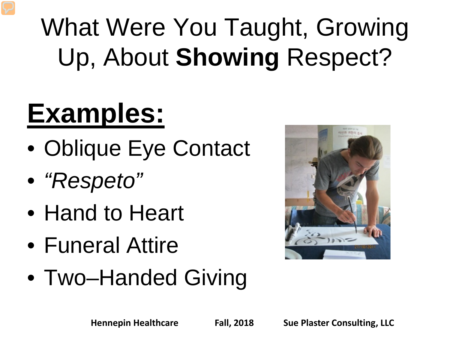# What Were You Taught, Growing Up, About **Showing** Respect?

# **Examples:**

- Oblique Eye Contact
- *"Respeto"*
- Hand to Heart
- Funeral Attire
- Two–Handed Giving

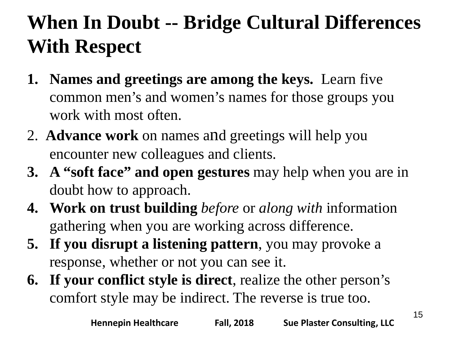### **When In Doubt -- Bridge Cultural Differences With Respect**

- **1. Names and greetings are among the keys.** Learn five common men's and women's names for those groups you work with most often.
- 2. **Advance work** on names and greetings will help you encounter new colleagues and clients.
- **3. A "soft face" and open gestures** may help when you are in doubt how to approach.
- **4. Work on trust building** *before* or *along with* information gathering when you are working across difference.
- **5. If you disrupt a listening pattern**, you may provoke a response, whether or not you can see it.
- **6. If your conflict style is direct**, realize the other person's comfort style may be indirect. The reverse is true too.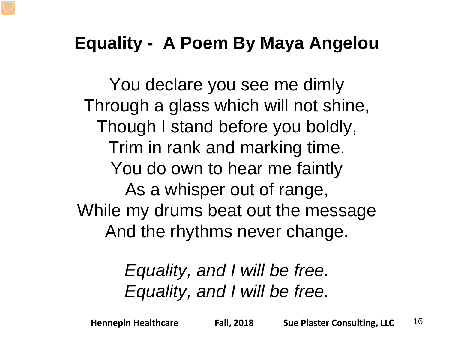#### **Equality - A Poem By Maya Angelou**

You declare you see me dimly Through a glass which will not shine, Though I stand before you boldly, Trim in rank and marking time. You do own to hear me faintly As a whisper out of range, While my drums beat out the message And the rhythms never change.

#### *Equality, and I will be free. Equality, and I will be free.*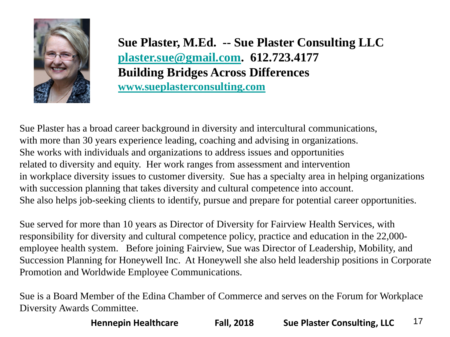

**Sue Plaster, M.Ed. -- Sue Plaster Consulting LLC [plaster.sue@gmail.com.](mailto:Plaster.sue@gmail.com) 612.723.4177 Building Bridges Across Differences [www.sueplasterconsulting.com](http://www.sueplasterconsulting.com/)**

Sue Plaster has a broad career background in diversity and intercultural communications, with more than 30 years experience leading, coaching and advising in organizations. She works with individuals and organizations to address issues and opportunities related to diversity and equity. Her work ranges from assessment and intervention in workplace diversity issues to customer diversity. Sue has a specialty area in helping organizations with succession planning that takes diversity and cultural competence into account. She also helps job-seeking clients to identify, pursue and prepare for potential career opportunities.

Sue served for more than 10 years as Director of Diversity for Fairview Health Services, with responsibility for diversity and cultural competence policy, practice and education in the 22,000 employee health system. Before joining Fairview, Sue was Director of Leadership, Mobility, and Succession Planning for Honeywell Inc. At Honeywell she also held leadership positions in Corporate Promotion and Worldwide Employee Communications.

Sue is a Board Member of the Edina Chamber of Commerce and serves on the Forum for Workplace Diversity Awards Committee.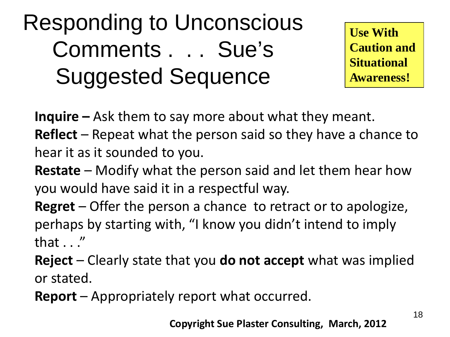## Responding to Unconscious Comments . . . Sue's Suggested Sequence

**Use With Caution and Situational Awareness!**

**Inquire –** Ask them to say more about what they meant.

**Reflect** – Repeat what the person said so they have a chance to hear it as it sounded to you.

**Restate** – Modify what the person said and let them hear how you would have said it in a respectful way.

**Regret** – Offer the person a chance to retract or to apologize, perhaps by starting with, "I know you didn't intend to imply that . . ."

**Reject** – Clearly state that you **do not accept** what was implied or stated.

**Report** – Appropriately report what occurred.

**Copyright Sue Plaster Consulting, March, 2012**